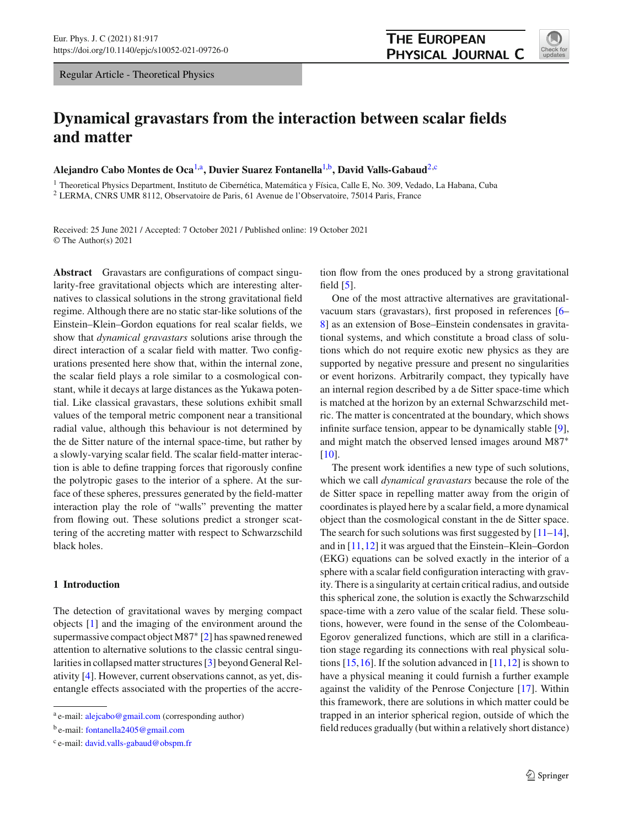Regular Article - Theoretical Physics

# **Dynamical gravastars from the interaction between scalar fields and matter**

**Alejandro Cabo Montes de Oca**[1,](#page-0-0)a**, Duvier Suarez Fontanella**[1,](#page-0-0)b**, David Valls-Gabaud**[2,](#page-0-0)c

<sup>1</sup> Theoretical Physics Department, Instituto de Cibernética, Matemática y Física, Calle E, No. 309, Vedado, La Habana, Cuba <sup>2</sup> LERMA, CNRS UMR 8112, Observatoire de Paris, 61 Avenue de l'Observatoire, 75014 Paris, France

Received: 25 June 2021 / Accepted: 7 October 2021 / Published online: 19 October 2021 © The Author(s) 2021

**Abstract** Gravastars are configurations of compact singularity-free gravitational objects which are interesting alternatives to classical solutions in the strong gravitational field regime. Although there are no static star-like solutions of the Einstein–Klein–Gordon equations for real scalar fields, we show that *dynamical gravastars* solutions arise through the direct interaction of a scalar field with matter. Two configurations presented here show that, within the internal zone, the scalar field plays a role similar to a cosmological constant, while it decays at large distances as the Yukawa potential. Like classical gravastars, these solutions exhibit small values of the temporal metric component near a transitional radial value, although this behaviour is not determined by the de Sitter nature of the internal space-time, but rather by a slowly-varying scalar field. The scalar field-matter interaction is able to define trapping forces that rigorously confine the polytropic gases to the interior of a sphere. At the surface of these spheres, pressures generated by the field-matter interaction play the role of "walls" preventing the matter from flowing out. These solutions predict a stronger scattering of the accreting matter with respect to Schwarzschild black holes.

## **1 Introduction**

The detection of gravitational waves by merging compact objects [\[1\]](#page-11-0) and the imaging of the environment around the supermassive compact object M87∗ [\[2\]](#page-11-1) has spawned renewed attention to alternative solutions to the classic central singularities in collapsed matter structures [\[3](#page-11-2)] beyond General Relativity [\[4](#page-11-3)]. However, current observations cannot, as yet, disentangle effects associated with the properties of the accre-

<sup>b</sup> e-mail: [fontanella2405@gmail.com](mailto:fontanella2405@gmail.com)

tion flow from the ones produced by a strong gravitational field  $[5]$ .

One of the most attractive alternatives are gravitationalvacuum stars (gravastars), first proposed in references [\[6](#page-11-5)– [8](#page-11-6)] as an extension of Bose–Einstein condensates in gravitational systems, and which constitute a broad class of solutions which do not require exotic new physics as they are supported by negative pressure and present no singularities or event horizons. Arbitrarily compact, they typically have an internal region described by a de Sitter space-time which is matched at the horizon by an external Schwarzschild metric. The matter is concentrated at the boundary, which shows infinite surface tension, appear to be dynamically stable [\[9](#page-11-7)], and might match the observed lensed images around M87∗ [\[10](#page-11-8)].

The present work identifies a new type of such solutions, which we call *dynamical gravastars* because the role of the de Sitter space in repelling matter away from the origin of coordinates is played here by a scalar field, a more dynamical object than the cosmological constant in the de Sitter space. The search for such solutions was first suggested by  $[11-14]$  $[11-14]$ , and in [\[11,](#page-11-9)[12\]](#page-11-11) it was argued that the Einstein–Klein–Gordon (EKG) equations can be solved exactly in the interior of a sphere with a scalar field configuration interacting with gravity. There is a singularity at certain critical radius, and outside this spherical zone, the solution is exactly the Schwarzschild space-time with a zero value of the scalar field. These solutions, however, were found in the sense of the Colombeau-Egorov generalized functions, which are still in a clarification stage regarding its connections with real physical solutions  $[15, 16]$  $[15, 16]$ . If the solution advanced in  $[11, 12]$  $[11, 12]$  $[11, 12]$  is shown to have a physical meaning it could furnish a further example against the validity of the Penrose Conjecture [\[17\]](#page-11-14). Within this framework, there are solutions in which matter could be trapped in an interior spherical region, outside of which the field reduces gradually (but within a relatively short distance)

<span id="page-0-0"></span>

a e-mail: [alejcabo@gmail.com](mailto:alejcabo@gmail.com) (corresponding author)

<sup>c</sup> e-mail: [david.valls-gabaud@obspm.fr](mailto:david.valls-gabaud@obspm.fr)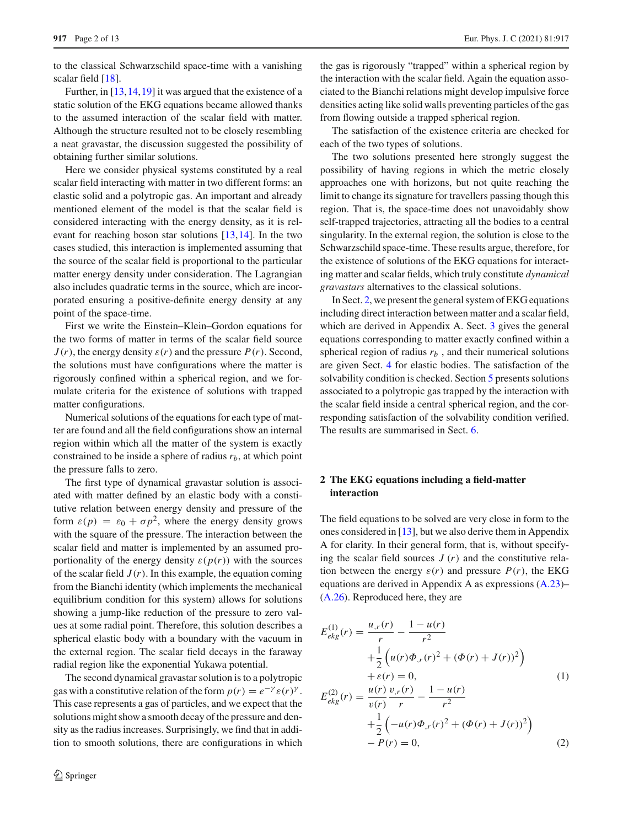to the classical Schwarzschild space-time with a vanishing scalar field [\[18](#page-11-15)].

Further, in [\[13](#page-11-16), 14, 19] it was argued that the existence of a static solution of the EKG equations became allowed thanks to the assumed interaction of the scalar field with matter. Although the structure resulted not to be closely resembling a neat gravastar, the discussion suggested the possibility of obtaining further similar solutions.

Here we consider physical systems constituted by a real scalar field interacting with matter in two different forms: an elastic solid and a polytropic gas. An important and already mentioned element of the model is that the scalar field is considered interacting with the energy density, as it is relevant for reaching boson star solutions [\[13](#page-11-16)[,14](#page-11-10)]. In the two cases studied, this interaction is implemented assuming that the source of the scalar field is proportional to the particular matter energy density under consideration. The Lagrangian also includes quadratic terms in the source, which are incorporated ensuring a positive-definite energy density at any point of the space-time.

First we write the Einstein–Klein–Gordon equations for the two forms of matter in terms of the scalar field source  $J(r)$ , the energy density  $\varepsilon(r)$  and the pressure  $P(r)$ . Second, the solutions must have configurations where the matter is rigorously confined within a spherical region, and we formulate criteria for the existence of solutions with trapped matter configurations.

Numerical solutions of the equations for each type of matter are found and all the field configurations show an internal region within which all the matter of the system is exactly constrained to be inside a sphere of radius  $r_b$ , at which point the pressure falls to zero.

The first type of dynamical gravastar solution is associated with matter defined by an elastic body with a constitutive relation between energy density and pressure of the form  $\varepsilon(p) = \varepsilon_0 + \sigma p^2$ , where the energy density grows with the square of the pressure. The interaction between the scalar field and matter is implemented by an assumed proportionality of the energy density  $\varepsilon(p(r))$  with the sources of the scalar field  $J(r)$ . In this example, the equation coming from the Bianchi identity (which implements the mechanical equilibrium condition for this system) allows for solutions showing a jump-like reduction of the pressure to zero values at some radial point. Therefore, this solution describes a spherical elastic body with a boundary with the vacuum in the external region. The scalar field decays in the faraway radial region like the exponential Yukawa potential.

The second dynamical gravastar solution is to a polytropic gas with a constitutive relation of the form  $p(r) = e^{-\gamma} \varepsilon(r)^{\gamma}$ . This case represents a gas of particles, and we expect that the solutions might show a smooth decay of the pressure and density as the radius increases. Surprisingly, we find that in addition to smooth solutions, there are configurations in which the gas is rigorously "trapped" within a spherical region by the interaction with the scalar field. Again the equation associated to the Bianchi relations might develop impulsive force densities acting like solid walls preventing particles of the gas from flowing outside a trapped spherical region.

The satisfaction of the existence criteria are checked for each of the two types of solutions.

The two solutions presented here strongly suggest the possibility of having regions in which the metric closely approaches one with horizons, but not quite reaching the limit to change its signature for travellers passing though this region. That is, the space-time does not unavoidably show self-trapped trajectories, attracting all the bodies to a central singularity. In the external region, the solution is close to the Schwarzschild space-time. These results argue, therefore, for the existence of solutions of the EKG equations for interacting matter and scalar fields, which truly constitute *dynamical gravastars* alternatives to the classical solutions.

In Sect. [2,](#page-1-0) we present the general system of EKG equations including direct interaction between matter and a scalar field, which are derived in Appendix A. Sect. [3](#page-2-0) gives the general equations corresponding to matter exactly confined within a spherical region of radius  $r_b$ , and their numerical solutions are given Sect. [4](#page-4-0) for elastic bodies. The satisfaction of the solvability condition is checked. Section [5](#page-7-0) presents solutions associated to a polytropic gas trapped by the interaction with the scalar field inside a central spherical region, and the corresponding satisfaction of the solvability condition verified. The results are summarised in Sect. [6.](#page-9-0)

## <span id="page-1-0"></span>**2 The EKG equations including a field-matter interaction**

The field equations to be solved are very close in form to the ones considered in [\[13](#page-11-16)], but we also derive them in Appendix A for clarity. In their general form, that is, without specifying the scalar field sources  $J(r)$  and the constitutive relation between the energy  $\varepsilon(r)$  and pressure  $P(r)$ , the EKG equations are derived in Appendix A as expressions [\(A.23\)](#page-11-18)– [\(A.26\)](#page-11-18). Reproduced here, they are

<span id="page-1-1"></span>
$$
E_{ekg}^{(1)}(r) = \frac{u_{,r}(r)}{r} - \frac{1 - u(r)}{r^2} + \frac{1}{2} \left( u(r)\Phi_{,r}(r)^2 + (\Phi(r) + J(r))^2 \right) + \varepsilon(r) = 0, \qquad (1)
$$
  

$$
E_{ekg}^{(2)}(r) = \frac{u(r)}{v(r)} \frac{v_{,r}(r)}{r} - \frac{1 - u(r)}{r^2} + \frac{1}{2} \left( -u(r)\Phi_{,r}(r)^2 + (\Phi(r) + J(r))^2 \right) - P(r) = 0, \qquad (2)
$$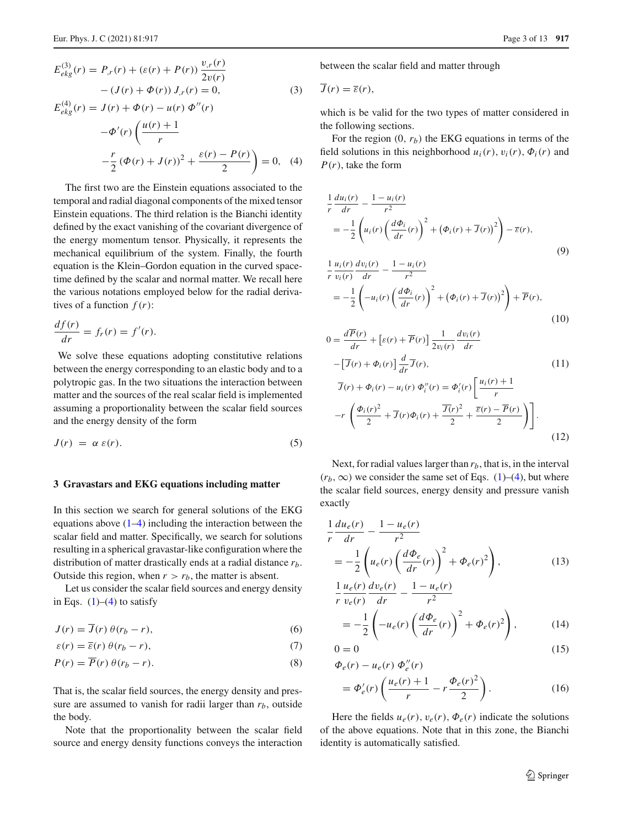$$
E_{ekg}^{(3)}(r) = P_{,r}(r) + (\varepsilon(r) + P(r)) \frac{v_{,r}(r)}{2v(r)}
$$

$$
- (J(r) + \Phi(r)) J_{,r}(r) = 0,
$$

$$
E_{ekg}^{(4)}(r) = J(r) + \Phi(r) - u(r) \Phi''(r)
$$
(3)

$$
-\Phi'(r)\left(\frac{u(r)+1}{r}\right) - \frac{r}{2}(\Phi(r) + J(r))^2 + \frac{\varepsilon(r) - P(r)}{2}\right) = 0, \quad (4)
$$

The first two are the Einstein equations associated to the temporal and radial diagonal components of the mixed tensor Einstein equations. The third relation is the Bianchi identity defined by the exact vanishing of the covariant divergence of the energy momentum tensor. Physically, it represents the mechanical equilibrium of the system. Finally, the fourth equation is the Klein–Gordon equation in the curved spacetime defined by the scalar and normal matter. We recall here the various notations employed below for the radial derivatives of a function  $f(r)$ :

$$
\frac{df(r)}{dr} = f_r(r) = f'(r).
$$

We solve these equations adopting constitutive relations between the energy corresponding to an elastic body and to a polytropic gas. In the two situations the interaction between matter and the sources of the real scalar field is implemented assuming a proportionality between the scalar field sources and the energy density of the form

$$
J(r) = \alpha \varepsilon(r). \tag{5}
$$

#### <span id="page-2-0"></span>**3 Gravastars and EKG equations including matter**

In this section we search for general solutions of the EKG equations above  $(1-4)$  including the interaction between the scalar field and matter. Specifically, we search for solutions resulting in a spherical gravastar-like configuration where the distribution of matter drastically ends at a radial distance *rb*. Outside this region, when  $r > r_b$ , the matter is absent.

Let us consider the scalar field sources and energy density in Eqs.  $(1)$ – $(4)$  to satisfy

$$
J(r) = \overline{J}(r)\,\theta(r_b - r),\tag{6}
$$

$$
\varepsilon(r) = \overline{\varepsilon}(r) \theta(r_b - r),\tag{7}
$$

$$
P(r) = \overline{P}(r) \theta(r_b - r). \tag{8}
$$

That is, the scalar field sources, the energy density and pressure are assumed to vanish for radii larger than  $r_b$ , outside the body.

Note that the proportionality between the scalar field source and energy density functions conveys the interaction between the scalar field and matter through

$$
\overline{J}(r)=\overline{\varepsilon}(r),
$$

which is be valid for the two types of matter considered in the following sections.

For the region  $(0, r_b)$  the EKG equations in terms of the field solutions in this neighborhood  $u_i(r)$ ,  $v_i(r)$ ,  $\Phi_i(r)$  and *P*(*r*), take the form

<span id="page-2-1"></span>
$$
\frac{1}{r}\frac{du_i(r)}{dr} - \frac{1 - u_i(r)}{r^2}
$$
\n
$$
= -\frac{1}{2}\left(u_i(r)\left(\frac{d\Phi_i}{dr}(r)\right)^2 + \left(\Phi_i(r) + \overline{J}(r)\right)^2\right) - \overline{\varepsilon}(r),
$$
\n
$$
\frac{1}{r}\frac{u_i(r)}{v_i(r)}\frac{dv_i(r)}{dr} - \frac{1 - u_i(r)}{r^2}
$$
\n
$$
= -\frac{1}{2}\left(-u_i(r)\left(\frac{d\Phi_i}{dr}(r)\right)^2 + \left(\Phi_i(r) + \overline{J}(r)\right)^2\right) + \overline{P}(r),
$$
\n(10)

$$
0 = \frac{d\overline{P}(r)}{dr} + \left[\varepsilon(r) + \overline{P}(r)\right] \frac{1}{2v_i(r)} \frac{dv_i(r)}{dr}
$$
  
\n
$$
- \left[\overline{J}(r) + \Phi_i(r)\right] \frac{d}{dr} \overline{J}(r), \qquad (11)
$$
  
\n
$$
\overline{J}(r) + \Phi_i(r) - u_i(r) \Phi_i''(r) = \Phi_i'(r) \left[\frac{u_i(r) + 1}{r}\right]
$$
  
\n
$$
-r \left(\frac{\Phi_i(r)^2}{2} + \overline{J}(r)\Phi_i(r) + \frac{\overline{J}(r)^2}{2} + \frac{\overline{\varepsilon}(r) - \overline{P}(r)}{2}\right) \bigg]. \qquad (12)
$$

Next, for radial values larger than  $r<sub>b</sub>$ , that is, in the interval  $(r_b, \infty)$  we consider the same set of Eqs. [\(1\)](#page-1-1)–[\(4\)](#page-1-1), but where the scalar field sources, energy density and pressure vanish exactly

<span id="page-2-2"></span>
$$
\frac{1}{r}\frac{du_e(r)}{dr} - \frac{1 - u_e(r)}{r^2}
$$
\n
$$
= -\frac{1}{2}\left(u_e(r)\left(\frac{d\Phi_e}{dr}(r)\right)^2 + \Phi_e(r)^2\right),
$$
\n(13)

$$
\frac{1}{r}\frac{u_e(r)}{v_e(r)}\frac{dv_e(r)}{dr} - \frac{1 - u_e(r)}{r^2}
$$
\n
$$
= -\frac{1}{2}\left(-u_e(r)\left(\frac{d\Phi_e}{dr}(r)\right)^2 + \Phi_e(r)^2\right),\tag{14}
$$

$$
0 = 0 \tag{15}
$$

$$
\Phi_e(r) - u_e(r) \Phi_e''(r) \n= \Phi_e'(r) \left( \frac{u_e(r) + 1}{r} - r \frac{\Phi_e(r)^2}{2} \right).
$$
\n(16)

Here the fields  $u_e(r)$ ,  $v_e(r)$ ,  $\Phi_e(r)$  indicate the solutions of the above equations. Note that in this zone, the Bianchi identity is automatically satisfied.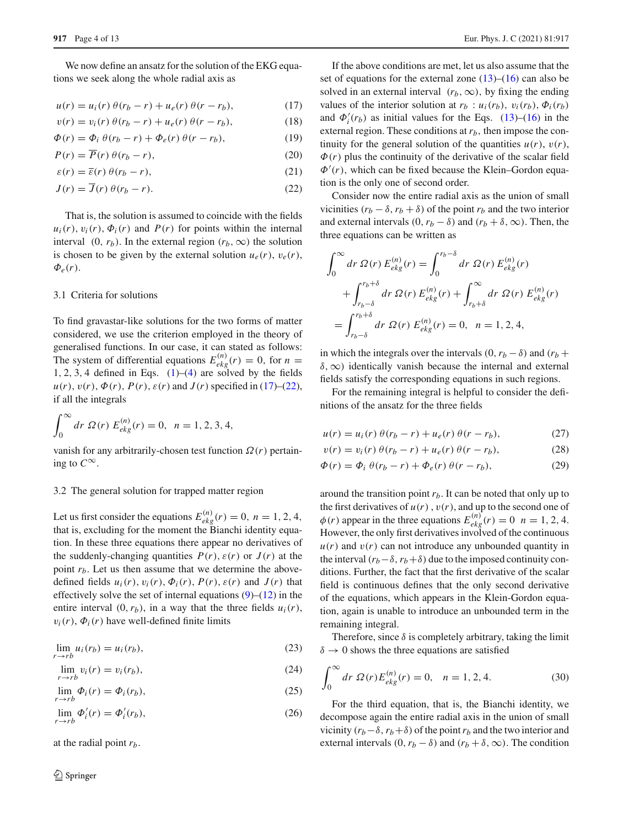We now define an ansatz for the solution of the EKG equations we seek along the whole radial axis as

$$
u(r) = ui(r) \theta(r_b - r) + ue(r) \theta(r - r_b),
$$
 (17)

$$
v(r) = v_i(r) \theta(r_b - r) + u_e(r) \theta(r - r_b), \qquad (18)
$$

$$
\Phi(r) = \Phi_i \theta(r_b - r) + \Phi_e(r) \theta(r - r_b), \qquad (19)
$$

$$
P(r) = \overline{P}(r) \theta(r_b - r), \qquad (20)
$$

$$
\varepsilon(r) = \overline{\varepsilon}(r) \theta(r_b - r), \tag{21}
$$

$$
J(r) = J(r) \theta(r_b - r). \tag{22}
$$

That is, the solution is assumed to coincide with the fields  $u_i(r)$ ,  $v_i(r)$ ,  $\Phi_i(r)$  and  $P(r)$  for points within the internal interval  $(0, r_b)$ . In the external region  $(r_b, \infty)$  the solution is chosen to be given by the external solution  $u_e(r)$ ,  $v_e(r)$ ,  $\Phi_e(r)$ .

#### 3.1 Criteria for solutions

To find gravastar-like solutions for the two forms of matter considered, we use the criterion employed in the theory of generalised functions. In our case, it can stated as follows: The system of differential equations  $E_{ekg}^{(n)}(r) = 0$ , for  $n =$  $1, 2, 3, 4$  defined in Eqs.  $(1)$ – $(4)$  are solved by the fields  $u(r)$ ,  $v(r)$ ,  $\Phi(r)$ ,  $P(r)$ ,  $\varepsilon(r)$  and  $J(r)$  specified in [\(17\)](#page-3-0)–[\(22\)](#page-3-1), if all the integrals

$$
\int_0^\infty dr \ \mathcal{Q}(r) \ E_{ekg}^{(n)}(r) = 0, \ \ n = 1, 2, 3, 4,
$$

vanish for any arbitrarily-chosen test function Ω(*r*) pertaining to  $C^{\infty}$ .

## 3.2 The general solution for trapped matter region

Let us first consider the equations  $E_{ekg}^{(n)}(r) = 0$ ,  $n = 1, 2, 4$ , that is, excluding for the moment the Bianchi identity equation. In these three equations there appear no derivatives of the suddenly-changing quantities  $P(r)$ ,  $\varepsilon(r)$  or  $J(r)$  at the point  $r_b$ . Let us then assume that we determine the abovedefined fields  $u_i(r)$ ,  $v_i(r)$ ,  $\Phi_i(r)$ ,  $P(r)$ ,  $\varepsilon(r)$  and  $J(r)$  that effectively solve the set of internal equations  $(9)$ – $(12)$  in the entire interval  $(0, r_b)$ , in a way that the three fields  $u_i(r)$ ,  $v_i(r)$ ,  $\Phi_i(r)$  have well-defined finite limits

$$
\lim_{r \to rb} u_i(r_b) = u_i(r_b),\tag{23}
$$

$$
\lim_{r \to rb} v_i(r) = v_i(r_b),\tag{24}
$$

$$
\lim_{r \to rb} \Phi_i(r) = \Phi_i(r_b),\tag{25}
$$

$$
\lim_{r \to rb} \Phi'_i(r) = \Phi'_i(r_b),\tag{26}
$$

at the radial point *rb*.

<span id="page-3-0"></span>If the above conditions are met, let us also assume that the set of equations for the external zone  $(13)$ – $(16)$  can also be solved in an external interval  $(r_b, \infty)$ , by fixing the ending values of the interior solution at  $r_b$  :  $u_i(r_b)$ ,  $v_i(r_b)$ ,  $\Phi_i(r_b)$ and  $\Phi'_i(r_b)$  as initial values for the Eqs. [\(13\)](#page-2-2)–[\(16\)](#page-2-2) in the external region. These conditions at  $r_b$ , then impose the continuity for the general solution of the quantities  $u(r)$ ,  $v(r)$ ,  $\Phi(r)$  plus the continuity of the derivative of the scalar field  $\Phi'(r)$ , which can be fixed because the Klein–Gordon equation is the only one of second order.

<span id="page-3-1"></span>Consider now the entire radial axis as the union of small vicinities  $(r_b - \delta, r_b + \delta)$  of the point  $r_b$  and the two interior and external intervals  $(0, r_b - \delta)$  and  $(r_b + \delta, \infty)$ . Then, the three equations can be written as

$$
\int_0^{\infty} dr \, \Omega(r) \, E_{ekg}^{(n)}(r) = \int_0^{r_b - \delta} dr \, \Omega(r) \, E_{ekg}^{(n)}(r)
$$

$$
+ \int_{r_b - \delta}^{r_b + \delta} dr \, \Omega(r) \, E_{ekg}^{(n)}(r) + \int_{r_b + \delta}^{\infty} dr \, \Omega(r) \, E_{ekg}^{(n)}(r)
$$

$$
= \int_{r_b - \delta}^{r_b + \delta} dr \, \Omega(r) \, E_{ekg}^{(n)}(r) = 0, \ \ n = 1, 2, 4,
$$

in which the integrals over the intervals  $(0, r_b - \delta)$  and  $(r_b +$  $\delta$ ,  $\infty$ ) identically vanish because the internal and external fields satisfy the corresponding equations in such regions.

For the remaining integral is helpful to consider the definitions of the ansatz for the three fields

$$
u(r) = ui(r) \theta(r_b - r) + ue(r) \theta(r - r_b),
$$
 (27)

$$
v(r) = v_i(r) \theta(r_b - r) + u_e(r) \theta(r - r_b), \qquad (28)
$$

$$
\Phi(r) = \Phi_i \theta(r_b - r) + \Phi_e(r) \theta(r - r_b), \qquad (29)
$$

around the transition point  $r<sub>b</sub>$ . It can be noted that only up to the first derivatives of  $u(r)$ ,  $v(r)$ , and up to the second one of  $\phi(r)$  appear in the three equations  $E_{ekg}^{(n)}(r) = 0$   $n = 1, 2, 4$ . However, the only first derivatives involved of the continuous  $u(r)$  and  $v(r)$  can not introduce any unbounded quantity in the interval  $(r_b-\delta, r_b+\delta)$  due to the imposed continuity conditions. Further, the fact that the first derivative of the scalar field is continuous defines that the only second derivative of the equations, which appears in the Klein-Gordon equation, again is unable to introduce an unbounded term in the remaining integral.

Therefore, since  $\delta$  is completely arbitrary, taking the limit  $\delta \rightarrow 0$  shows the three equations are satisfied

$$
\int_0^\infty dr \ \mathcal{Q}(r) E_{ekg}^{(n)}(r) = 0, \quad n = 1, 2, 4. \tag{30}
$$

For the third equation, that is, the Bianchi identity, we decompose again the entire radial axis in the union of small vicinity  $(r_b-\delta, r_b+\delta)$  of the point  $r_b$  and the two interior and external intervals  $(0, r_b - \delta)$  and  $(r_b + \delta, \infty)$ . The condition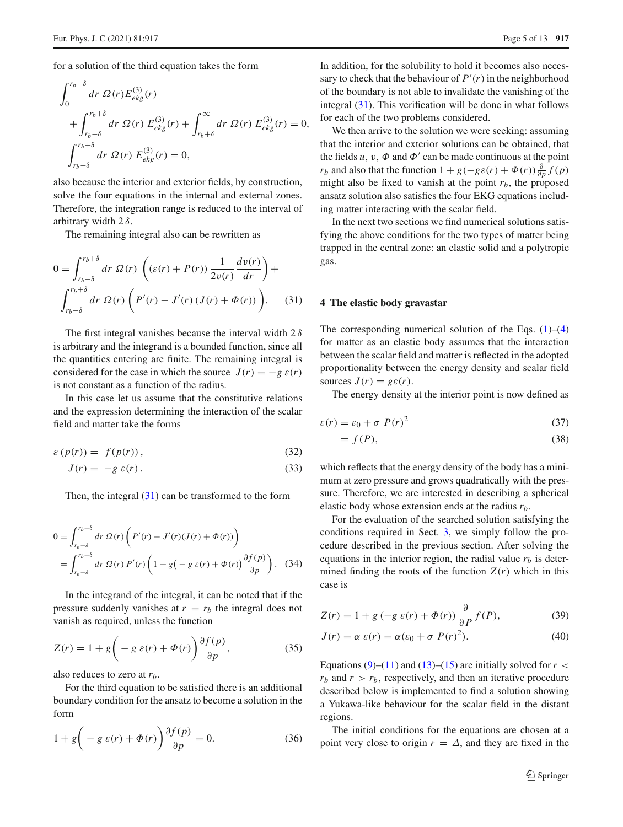for a solution of the third equation takes the form

$$
\int_{0}^{r_b-\delta} dr \, \Omega(r) E_{ekg}^{(3)}(r) \n+ \int_{r_b-\delta}^{r_b+\delta} dr \, \Omega(r) E_{ekg}^{(3)}(r) + \int_{r_b+\delta}^{\infty} dr \, \Omega(r) E_{ekg}^{(3)}(r) = 0, \n\int_{r_b-\delta}^{r_b+\delta} dr \, \Omega(r) E_{ekg}^{(3)}(r) = 0,
$$

also because the interior and exterior fields, by construction, solve the four equations in the internal and external zones. Therefore, the integration range is reduced to the interval of arbitrary width  $2 \delta$ .

The remaining integral also can be rewritten as

$$
0 = \int_{r_b-\delta}^{r_b+\delta} dr \ \Omega(r) \left( (\varepsilon(r) + P(r)) \frac{1}{2v(r)} \frac{dv(r)}{dr} \right) +
$$
  

$$
\int_{r_b-\delta}^{r_b+\delta} dr \ \Omega(r) \left( P'(r) - J'(r) \left( J(r) + \Phi(r) \right) \right).
$$
 (31)

The first integral vanishes because the interval width  $2\delta$ is arbitrary and the integrand is a bounded function, since all the quantities entering are finite. The remaining integral is considered for the case in which the source  $J(r) = -g \varepsilon(r)$ is not constant as a function of the radius.

In this case let us assume that the constitutive relations and the expression determining the interaction of the scalar field and matter take the forms

$$
\varepsilon\left(p(r)\right) = f(p(r)),\tag{32}
$$

$$
J(r) = -g \varepsilon(r). \tag{33}
$$

Then, the integral  $(31)$  can be transformed to the form

$$
0 = \int_{r_b - \delta}^{r_b + \delta} dr \, \Omega(r) \left( P'(r) - J'(r) (J(r) + \Phi(r)) \right)
$$
  
= 
$$
\int_{r_b - \delta}^{r_b + \delta} dr \, \Omega(r) P'(r) \left( 1 + g \left( -g \, \varepsilon(r) + \Phi(r) \right) \frac{\partial f(p)}{\partial p} \right). \tag{34}
$$

In the integrand of the integral, it can be noted that if the pressure suddenly vanishes at  $r = r_b$  the integral does not vanish as required, unless the function

$$
Z(r) = 1 + g\left(-g \varepsilon(r) + \Phi(r)\right) \frac{\partial f(p)}{\partial p},\tag{35}
$$

also reduces to zero at *rb*.

For the third equation to be satisfied there is an additional boundary condition for the ansatz to become a solution in the form

$$
1 + g\left(-g \varepsilon(r) + \Phi(r)\right) \frac{\partial f(p)}{\partial p} = 0.
$$
 (36)

In addition, for the solubility to hold it becomes also necessary to check that the behaviour of  $P'(r)$  in the neighborhood of the boundary is not able to invalidate the vanishing of the integral [\(31\)](#page-4-1). This verification will be done in what follows for each of the two problems considered.

We then arrive to the solution we were seeking: assuming that the interior and exterior solutions can be obtained, that the fields  $u, v, \Phi$  and  $\Phi'$  can be made continuous at the point *r<sub>b</sub>* and also that the function  $1 + g(-g\varepsilon(r) + \Phi(r)) \frac{\partial}{\partial p} f(p)$ might also be fixed to vanish at the point  $r_b$ , the proposed ansatz solution also satisfies the four EKG equations including matter interacting with the scalar field.

In the next two sections we find numerical solutions satisfying the above conditions for the two types of matter being trapped in the central zone: an elastic solid and a polytropic gas.

## <span id="page-4-1"></span><span id="page-4-0"></span>**4 The elastic body gravastar**

The corresponding numerical solution of the Eqs.  $(1)$ – $(4)$ for matter as an elastic body assumes that the interaction between the scalar field and matter is reflected in the adopted proportionality between the energy density and scalar field sources  $J(r) = g\epsilon(r)$ .

The energy density at the interior point is now defined as

$$
\varepsilon(r) = \varepsilon_0 + \sigma \ P(r)^2 \tag{37}
$$

$$
= f(P), \tag{38}
$$

which reflects that the energy density of the body has a minimum at zero pressure and grows quadratically with the pressure. Therefore, we are interested in describing a spherical elastic body whose extension ends at the radius *rb*.

<span id="page-4-2"></span>For the evaluation of the searched solution satisfying the conditions required in Sect. [3,](#page-2-0) we simply follow the procedure described in the previous section. After solving the equations in the interior region, the radial value  $r_b$  is determined finding the roots of the function  $Z(r)$  which in this case is

$$
Z(r) = 1 + g\left(-g\ \varepsilon(r) + \Phi(r)\right)\frac{\partial}{\partial P}f(P),\tag{39}
$$

$$
J(r) = \alpha \varepsilon(r) = \alpha(\varepsilon_0 + \sigma \ P(r)^2). \tag{40}
$$

Equations  $(9)$ – $(11)$  and  $(13)$ – $(15)$  are initially solved for  $r <$  $r_b$  and  $r > r_b$ , respectively, and then an iterative procedure described below is implemented to find a solution showing a Yukawa-like behaviour for the scalar field in the distant regions.

The initial conditions for the equations are chosen at a point very close to origin  $r = \Delta$ , and they are fixed in the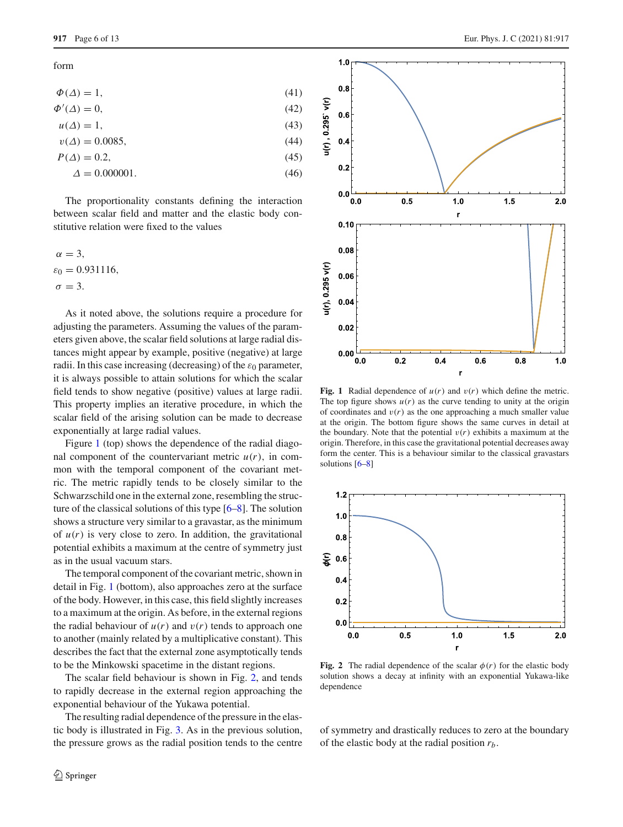form

$$
\Phi(\Delta) = 1,\tag{41}
$$

$$
\Phi'(\Delta) = 0,\tag{42}
$$

$$
u(\Delta) = 1,\tag{43}
$$

$$
v(\Delta) = 0.0085,\tag{44}
$$

$$
P(\Delta) = 0.2,
$$
\n
$$
\Delta = 0.000001.
$$
\n(46)

The proportionality constants defining the interaction between scalar field and matter and the elastic body constitutive relation were fixed to the values

 $\alpha = 3$ .  $\varepsilon_0 = 0.931116$ ,  $\sigma = 3$ .

As it noted above, the solutions require a procedure for adjusting the parameters. Assuming the values of the parameters given above, the scalar field solutions at large radial distances might appear by example, positive (negative) at large radii. In this case increasing (decreasing) of the  $\varepsilon_0$  parameter, it is always possible to attain solutions for which the scalar field tends to show negative (positive) values at large radii. This property implies an iterative procedure, in which the scalar field of the arising solution can be made to decrease exponentially at large radial values.

Figure [1](#page-5-0) (top) shows the dependence of the radial diagonal component of the countervariant metric  $u(r)$ , in common with the temporal component of the covariant metric. The metric rapidly tends to be closely similar to the Schwarzschild one in the external zone, resembling the structure of the classical solutions of this type [\[6](#page-11-5)[–8\]](#page-11-6). The solution shows a structure very similar to a gravastar, as the minimum of  $u(r)$  is very close to zero. In addition, the gravitational potential exhibits a maximum at the centre of symmetry just as in the usual vacuum stars.

The temporal component of the covariant metric, shown in detail in Fig. [1](#page-5-0) (bottom), also approaches zero at the surface of the body. However, in this case, this field slightly increases to a maximum at the origin. As before, in the external regions the radial behaviour of  $u(r)$  and  $v(r)$  tends to approach one to another (mainly related by a multiplicative constant). This describes the fact that the external zone asymptotically tends to be the Minkowski spacetime in the distant regions.

The scalar field behaviour is shown in Fig. [2,](#page-5-1) and tends to rapidly decrease in the external region approaching the exponential behaviour of the Yukawa potential.

The resulting radial dependence of the pressure in the elastic body is illustrated in Fig. [3.](#page-6-0) As in the previous solution, the pressure grows as the radial position tends to the centre





<span id="page-5-0"></span>**Fig. 1** Radial dependence of  $u(r)$  and  $v(r)$  which define the metric. The top figure shows  $u(r)$  as the curve tending to unity at the origin of coordinates and  $v(r)$  as the one approaching a much smaller value at the origin. The bottom figure shows the same curves in detail at the boundary. Note that the potential  $v(r)$  exhibits a maximum at the origin. Therefore, in this case the gravitational potential decreases away form the center. This is a behaviour similar to the classical gravastars solutions [\[6](#page-11-5)[–8](#page-11-6)]



<span id="page-5-1"></span>**Fig. 2** The radial dependence of the scalar  $\phi(r)$  for the elastic body solution shows a decay at infinity with an exponential Yukawa-like dependence

of symmetry and drastically reduces to zero at the boundary of the elastic body at the radial position *rb*.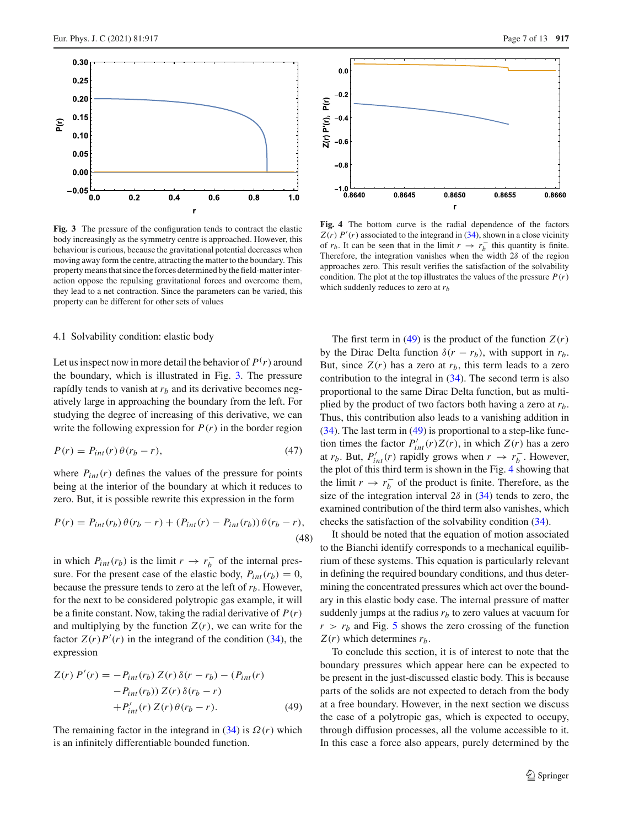

<span id="page-6-0"></span>**Fig. 3** The pressure of the configuration tends to contract the elastic body increasingly as the symmetry centre is approached. However, this behaviour is curious, because the gravitational potential decreases when moving away form the centre, attracting the matter to the boundary. This property means that since the forces determined by the field-matter interaction oppose the repulsing gravitational forces and overcome them, they lead to a net contraction. Since the parameters can be varied, this property can be different for other sets of values

## 4.1 Solvability condition: elastic body

Let us inspect now in more detail the behavior of  $P(r)$  around the boundary, which is illustrated in Fig. [3.](#page-6-0) The pressure rapídly tends to vanish at  $r<sub>b</sub>$  and its derivative becomes negatively large in approaching the boundary from the left. For studying the degree of increasing of this derivative, we can write the following expression for  $P(r)$  in the border region

$$
P(r) = P_{int}(r)\theta(r_b - r),\tag{47}
$$

where  $P_{int}(r)$  defines the values of the pressure for points being at the interior of the boundary at which it reduces to zero. But, it is possible rewrite this expression in the form

$$
P(r) = P_{int}(r_b) \theta(r_b - r) + (P_{int}(r) - P_{int}(r_b)) \theta(r_b - r),
$$
\n(48)

in which  $P_{int}(r_b)$  is the limit  $r \rightarrow r_b^-$  of the internal pressure. For the present case of the elastic body,  $P_{int}(r_b) = 0$ , because the pressure tends to zero at the left of *rb*. However, for the next to be considered polytropic gas example, it will be a finite constant. Now, taking the radial derivative of *P*(*r*) and multiplying by the function  $Z(r)$ , we can write for the factor  $Z(r)P'(r)$  in the integrand of the condition [\(34\)](#page-4-2), the expression

<span id="page-6-1"></span>
$$
Z(r) P'(r) = -P_{int}(r_b) Z(r) \delta(r - r_b) - (P_{int}(r)
$$

$$
-P_{int}(r_b)) Z(r) \delta(r_b - r)
$$

$$
+P'_{int}(r) Z(r) \theta(r_b - r).
$$
(49)

The remaining factor in the integrand in  $(34)$  is  $\Omega(r)$  which is an infinitely differentiable bounded function.



<span id="page-6-2"></span>**Fig. 4** The bottom curve is the radial dependence of the factors  $Z(r)$  *P*<sup>'</sup>(*r*) associated to the integrand in [\(34\)](#page-4-2), shown in a close vicinity of  $r_b$ . It can be seen that in the limit  $r \to r_b^-$  this quantity is finite. Therefore, the integration vanishes when the width  $2\delta$  of the region approaches zero. This result verifies the satisfaction of the solvability condition. The plot at the top illustrates the values of the pressure  $P(r)$ which suddenly reduces to zero at *rb*

The first term in [\(49\)](#page-6-1) is the product of the function  $Z(r)$ by the Dirac Delta function  $\delta(r - r_b)$ , with support in  $r_b$ . But, since  $Z(r)$  has a zero at  $r<sub>b</sub>$ , this term leads to a zero contribution to the integral in [\(34\)](#page-4-2). The second term is also proportional to the same Dirac Delta function, but as multiplied by the product of two factors both having a zero at *rb*. Thus, this contribution also leads to a vanishing addition in [\(34\)](#page-4-2). The last term in [\(49\)](#page-6-1) is proportional to a step-like function times the factor  $P'_{int}(r)Z(r)$ , in which  $Z(r)$  has a zero at *r<sub>b</sub>*. But,  $P'_{int}(r)$  rapidly grows when  $r \rightarrow r_b^-$ . However, the plot of this third term is shown in the Fig. [4](#page-6-2) showing that the limit  $r \to r_b^-$  of the product is finite. Therefore, as the size of the integration interval  $2\delta$  in [\(34\)](#page-4-2) tends to zero, the examined contribution of the third term also vanishes, which checks the satisfaction of the solvability condition [\(34\)](#page-4-2).

It should be noted that the equation of motion associated to the Bianchi identify corresponds to a mechanical equilibrium of these systems. This equation is particularly relevant in defining the required boundary conditions, and thus determining the concentrated pressures which act over the boundary in this elastic body case. The internal pressure of matter suddenly jumps at the radius  $r_b$  to zero values at vacuum for  $r > r_b$  and Fig. [5](#page-7-1) shows the zero crossing of the function  $Z(r)$  which determines  $r<sub>b</sub>$ .

To conclude this section, it is of interest to note that the boundary pressures which appear here can be expected to be present in the just-discussed elastic body. This is because parts of the solids are not expected to detach from the body at a free boundary. However, in the next section we discuss the case of a polytropic gas, which is expected to occupy, through diffusion processes, all the volume accessible to it. In this case a force also appears, purely determined by the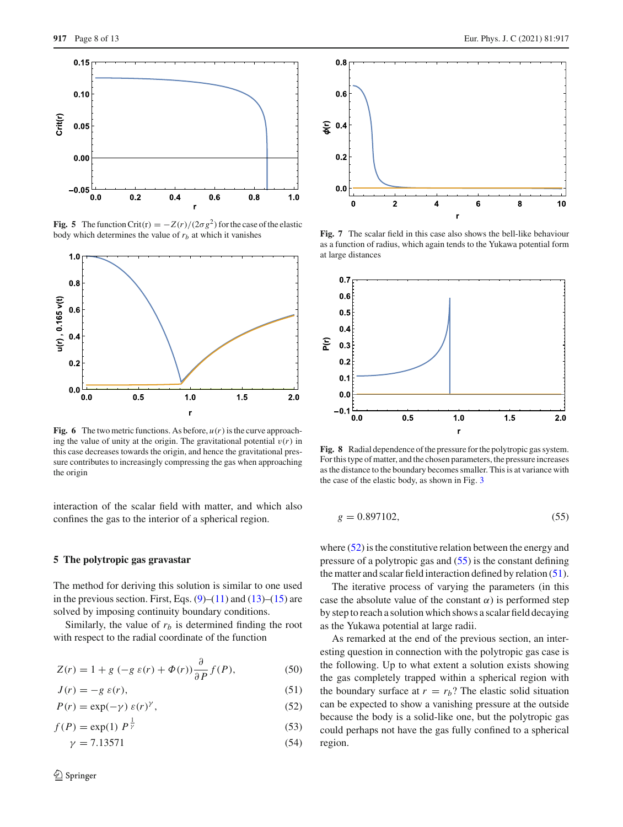

<span id="page-7-1"></span>**Fig. 5** The function Crit(r) =  $-Z(r)/(2\sigma g^2)$  for the case of the elastic body which determines the value of *rb* at which it vanishes



<span id="page-7-5"></span>**Fig. 6** The two metric functions. As before,  $u(r)$  is the curve approaching the value of unity at the origin. The gravitational potential  $v(r)$  in this case decreases towards the origin, and hence the gravitational pressure contributes to increasingly compressing the gas when approaching the origin

interaction of the scalar field with matter, and which also confines the gas to the interior of a spherical region.

## <span id="page-7-0"></span>**5 The polytropic gas gravastar**

The method for deriving this solution is similar to one used in the previous section. First, Eqs.  $(9)$ – $(11)$  and  $(13)$ – $(15)$  are solved by imposing continuity boundary conditions.

Similarly, the value of  $r<sub>b</sub>$  is determined finding the root with respect to the radial coordinate of the function

$$
Z(r) = 1 + g\left(-g\,\varepsilon(r) + \Phi(r)\right)\frac{\partial}{\partial P}f(P),\tag{50}
$$

$$
J(r) = -g \varepsilon(r),\tag{51}
$$

$$
P(r) = \exp(-\gamma) \varepsilon(r)^{\gamma}, \qquad (52)
$$

$$
f(P) = \exp(1) \, P^{\frac{1}{\gamma}} \tag{53}
$$

$$
\gamma = 7.13571\tag{54}
$$



**Fig. 7** The scalar field in this case also shows the bell-like behaviour as a function of radius, which again tends to the Yukawa potential form at large distances

r

4

 $\bf{6}$ 

8

 $10$ 

<span id="page-7-6"></span> $\mathbf 0$ 

 $\overline{\mathbf{2}}$ 



<span id="page-7-7"></span>**Fig. 8** Radial dependence of the pressure for the polytropic gas system. For this type of matter, and the chosen parameters, the pressure increases as the distance to the boundary becomes smaller. This is at variance with the case of the elastic body, as shown in Fig. [3](#page-6-0)

<span id="page-7-3"></span>
$$
g = 0.897102,\t(55)
$$

where  $(52)$  is the constitutive relation between the energy and pressure of a polytropic gas and [\(55\)](#page-7-3) is the constant defining the matter and scalar field interaction defined by relation [\(51\)](#page-7-4).

The iterative process of varying the parameters (in this case the absolute value of the constant  $\alpha$ ) is performed step by step to reach a solution which shows a scalar field decaying as the Yukawa potential at large radii.

<span id="page-7-4"></span><span id="page-7-2"></span>As remarked at the end of the previous section, an interesting question in connection with the polytropic gas case is the following. Up to what extent a solution exists showing the gas completely trapped within a spherical region with the boundary surface at  $r = r<sub>b</sub>$ ? The elastic solid situation can be expected to show a vanishing pressure at the outside because the body is a solid-like one, but the polytropic gas could perhaps not have the gas fully confined to a spherical region.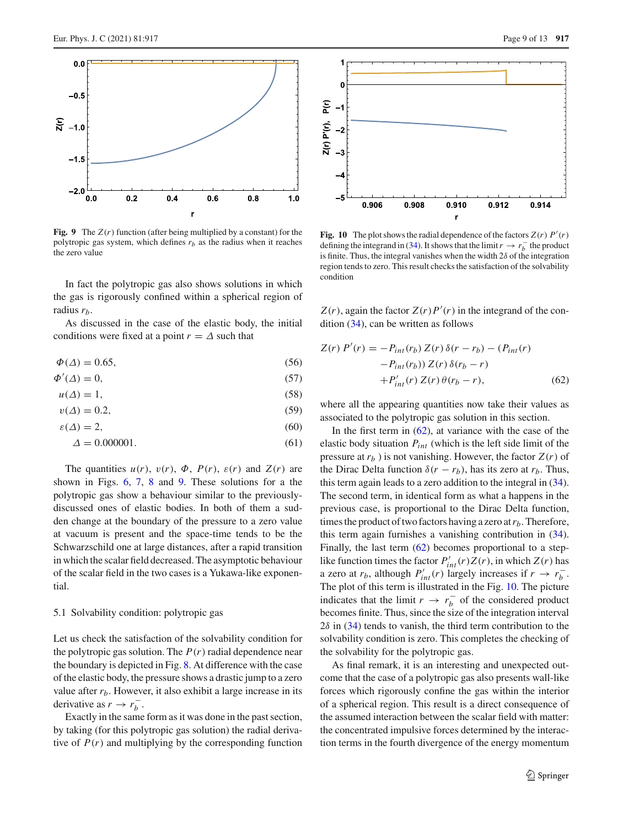

<span id="page-8-0"></span>**Fig. 9** The *Z*(*r*) function (after being multiplied by a constant) for the polytropic gas system, which defines  $r_b$  as the radius when it reaches the zero value

In fact the polytropic gas also shows solutions in which the gas is rigorously confined within a spherical region of radius *rb*.

As discussed in the case of the elastic body, the initial conditions were fixed at a point  $r = \Delta$  such that

$$
\Phi(\Delta) = 0.65,\tag{56}
$$

$$
\Phi'(\Delta) = 0,\tag{57}
$$

$$
u(\Delta) = 1,\tag{58}
$$

$$
v(\Delta) = 0.2,\tag{59}
$$

$$
\varepsilon(\Delta) = 2,\tag{60}
$$

$$
\Delta = 0.000001.\tag{61}
$$

The quantities  $u(r)$ ,  $v(r)$ ,  $\Phi$ ,  $P(r)$ ,  $\varepsilon(r)$  and  $Z(r)$  are shown in Figs. [6,](#page-7-5) [7,](#page-7-6) [8](#page-7-7) and [9.](#page-8-0) These solutions for a the polytropic gas show a behaviour similar to the previouslydiscussed ones of elastic bodies. In both of them a sudden change at the boundary of the pressure to a zero value at vacuum is present and the space-time tends to be the Schwarzschild one at large distances, after a rapid transition in which the scalar field decreased. The asymptotic behaviour of the scalar field in the two cases is a Yukawa-like exponential.

#### 5.1 Solvability condition: polytropic gas

Let us check the satisfaction of the solvability condition for the polytropic gas solution. The  $P(r)$  radial dependence near the boundary is depicted in Fig. [8.](#page-7-7) At difference with the case of the elastic body, the pressure shows a drastic jump to a zero value after  $r_b$ . However, it also exhibit a large increase in its derivative as  $r \rightarrow r_b^-$ .

Exactly in the same form as it was done in the past section, by taking (for this polytropic gas solution) the radial derivative of  $P(r)$  and multiplying by the corresponding function



<span id="page-8-2"></span>**Fig. 10** The plot shows the radial dependence of the factors  $Z(r) P'(r)$ defining the integrand in [\(34\)](#page-4-2). It shows that the limit  $r \to r_b^-$  the product is finite. Thus, the integral vanishes when the width  $2\delta$  of the integration region tends to zero. This result checks the satisfaction of the solvability condition

 $Z(r)$ , again the factor  $Z(r)P'(r)$  in the integrand of the condition [\(34\)](#page-4-2), can be written as follows

<span id="page-8-1"></span>
$$
Z(r) P'(r) = -P_{int}(r_b) Z(r) \delta(r - r_b) - (P_{int}(r) - P_{int}(r_b)) Z(r) \delta(r_b - r)
$$

$$
+ P'_{int}(r) Z(r) \theta(r_b - r), \qquad (62)
$$

where all the appearing quantities now take their values as associated to the polytropic gas solution in this section.

In the first term in  $(62)$ , at variance with the case of the elastic body situation *Pint* (which is the left side limit of the pressure at  $r_b$ ) is not vanishing. However, the factor  $Z(r)$  of the Dirac Delta function  $\delta(r - r_b)$ , has its zero at  $r_b$ . Thus, this term again leads to a zero addition to the integral in [\(34\)](#page-4-2). The second term, in identical form as what a happens in the previous case, is proportional to the Dirac Delta function, times the product of two factors having a zero at  $r_b$ . Therefore, this term again furnishes a vanishing contribution in [\(34\)](#page-4-2). Finally, the last term [\(62\)](#page-8-1) becomes proportional to a steplike function times the factor  $P'_{int}(r)Z(r)$ , in which  $Z(r)$  has a zero at  $r_b$ , although  $P'_{int}(r)$  largely increases if  $r \to r_b^-$ . The plot of this term is illustrated in the Fig. [10.](#page-8-2) The picture indicates that the limit  $r \to r_b^-$  of the considered product becomes finite. Thus, since the size of the integration interval  $2\delta$  in [\(34\)](#page-4-2) tends to vanish, the third term contribution to the solvability condition is zero. This completes the checking of the solvability for the polytropic gas.

As final remark, it is an interesting and unexpected outcome that the case of a polytropic gas also presents wall-like forces which rigorously confine the gas within the interior of a spherical region. This result is a direct consequence of the assumed interaction between the scalar field with matter: the concentrated impulsive forces determined by the interaction terms in the fourth divergence of the energy momentum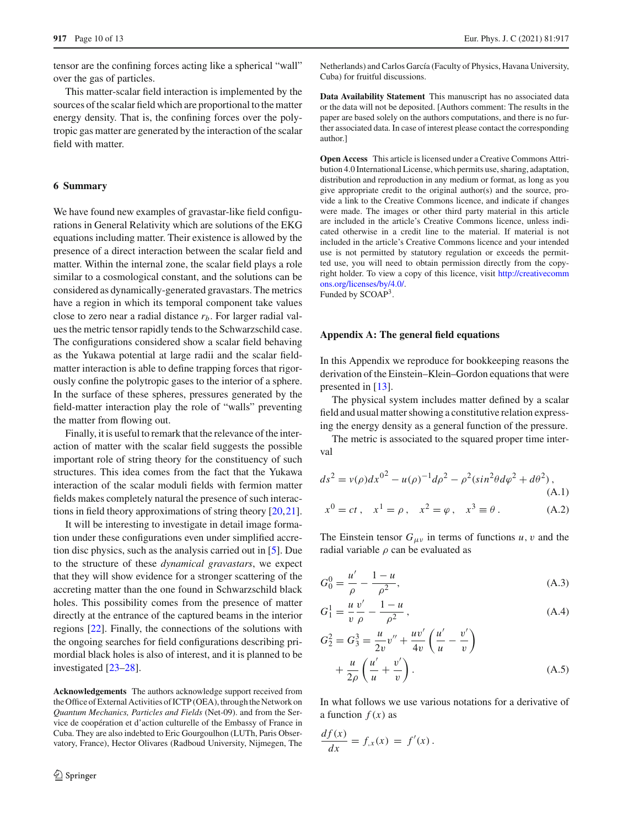tensor are the confining forces acting like a spherical "wall" over the gas of particles.

This matter-scalar field interaction is implemented by the sources of the scalar field which are proportional to the matter energy density. That is, the confining forces over the polytropic gas matter are generated by the interaction of the scalar field with matter.

#### <span id="page-9-0"></span>**6 Summary**

We have found new examples of gravastar-like field configurations in General Relativity which are solutions of the EKG equations including matter. Their existence is allowed by the presence of a direct interaction between the scalar field and matter. Within the internal zone, the scalar field plays a role similar to a cosmological constant, and the solutions can be considered as dynamically-generated gravastars. The metrics have a region in which its temporal component take values close to zero near a radial distance *rb*. For larger radial values the metric tensor rapidly tends to the Schwarzschild case. The configurations considered show a scalar field behaving as the Yukawa potential at large radii and the scalar fieldmatter interaction is able to define trapping forces that rigorously confine the polytropic gases to the interior of a sphere. In the surface of these spheres, pressures generated by the field-matter interaction play the role of "walls" preventing the matter from flowing out.

Finally, it is useful to remark that the relevance of the interaction of matter with the scalar field suggests the possible important role of string theory for the constituency of such structures. This idea comes from the fact that the Yukawa interaction of the scalar moduli fields with fermion matter fields makes completely natural the presence of such interactions in field theory approximations of string theory [\[20](#page-11-19)[,21](#page-11-20)].

It will be interesting to investigate in detail image formation under these configurations even under simplified accretion disc physics, such as the analysis carried out in [\[5\]](#page-11-4). Due to the structure of these *dynamical gravastars*, we expect that they will show evidence for a stronger scattering of the accreting matter than the one found in Schwarzschild black holes. This possibility comes from the presence of matter directly at the entrance of the captured beams in the interior regions [\[22\]](#page-11-21). Finally, the connections of the solutions with the ongoing searches for field configurations describing primordial black holes is also of interest, and it is planned to be investigated [\[23](#page-11-22)[–28](#page-11-23)].

**Acknowledgements** The authors acknowledge support received from the Office of External Activities of ICTP (OEA), through the Network on *Quantum Mechanics, Particles and Fields* (Net-09). and from the Service de coopération et d'action culturelle of the Embassy of France in Cuba. They are also indebted to Eric Gourgoulhon (LUTh, Paris Observatory, France), Hector Olivares (Radboud University, Nijmegen, The Netherlands) and Carlos García (Faculty of Physics, Havana University, Cuba) for fruitful discussions.

**Data Availability Statement** This manuscript has no associated data or the data will not be deposited. [Authors comment: The results in the paper are based solely on the authors computations, and there is no further associated data. In case of interest please contact the corresponding author.]

**Open Access** This article is licensed under a Creative Commons Attribution 4.0 International License, which permits use, sharing, adaptation, distribution and reproduction in any medium or format, as long as you give appropriate credit to the original author(s) and the source, provide a link to the Creative Commons licence, and indicate if changes were made. The images or other third party material in this article are included in the article's Creative Commons licence, unless indicated otherwise in a credit line to the material. If material is not included in the article's Creative Commons licence and your intended use is not permitted by statutory regulation or exceeds the permitted use, you will need to obtain permission directly from the copyright holder. To view a copy of this licence, visit [http://creativecomm](http://creativecommons.org/licenses/by/4.0/) [ons.org/licenses/by/4.0/.](http://creativecommons.org/licenses/by/4.0/)

Funded by SCOAP<sup>3</sup>.

#### **Appendix A: The general field equations**

In this Appendix we reproduce for bookkeeping reasons the derivation of the Einstein–Klein–Gordon equations that were presented in [\[13](#page-11-16)].

The physical system includes matter defined by a scalar field and usual matter showing a constitutive relation expressing the energy density as a general function of the pressure.

The metric is associated to the squared proper time interval

$$
ds^{2} = v(\rho)dx^{0^{2}} - u(\rho)^{-1}d\rho^{2} - \rho^{2}(\sin^{2}\theta d\varphi^{2} + d\theta^{2}),
$$
\n(A.1)\n
$$
x^{0} = ct, \quad x^{1} = \rho, \quad x^{2} = \varphi, \quad x^{3} \equiv \theta.
$$
\n(A.2)

The Einstein tensor  $G_{\mu\nu}$  in terms of functions  $u, v$  and the radial variable  $\rho$  can be evaluated as

$$
G_0^0 = \frac{u'}{\rho} - \frac{1 - u}{\rho^2},\tag{A.3}
$$

$$
G_1^1 = \frac{u}{v} \frac{v'}{\rho} - \frac{1 - u}{\rho^2},\tag{A.4}
$$

$$
G_2^2 = G_3^3 = \frac{u}{2v}v'' + \frac{uv'}{4v} \left(\frac{u'}{u} - \frac{v'}{v}\right) + \frac{u}{2\rho} \left(\frac{u'}{u} + \frac{v'}{v}\right).
$$
 (A.5)

In what follows we use various notations for a derivative of a function  $f(x)$  as

$$
\frac{df(x)}{dx} = f_{,x}(x) = f'(x).
$$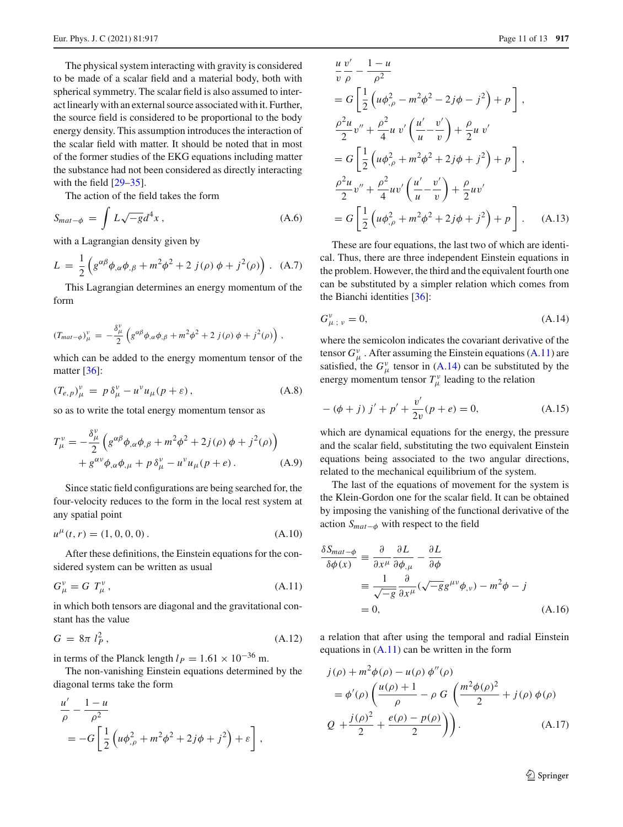The physical system interacting with gravity is considered to be made of a scalar field and a material body, both with spherical symmetry. The scalar field is also assumed to interact linearly with an external source associated with it. Further, the source field is considered to be proportional to the body energy density. This assumption introduces the interaction of the scalar field with matter. It should be noted that in most of the former studies of the EKG equations including matter the substance had not been considered as directly interacting with the field  $[29-35]$  $[29-35]$ .

The action of the field takes the form

$$
S_{mat-\phi} = \int L\sqrt{-g}d^4x \,, \tag{A.6}
$$

with a Lagrangian density given by

$$
L = \frac{1}{2} \left( g^{\alpha \beta} \phi_{,\alpha} \phi_{,\beta} + m^2 \phi^2 + 2 j(\rho) \phi + j^2(\rho) \right). \tag{A.7}
$$

This Lagrangian determines an energy momentum of the form

$$
(T_{mat-\phi})^{\nu}_{\mu} = -\frac{\delta^{\nu}_{\mu}}{2} \left( g^{\alpha\beta} \phi_{,\alpha} \phi_{,\beta} + m^2 \phi^2 + 2 j(\rho) \phi + j^2(\rho) \right),
$$

which can be added to the energy momentum tensor of the matter [\[36](#page-12-1)]:

$$
(T_{e,p})^{\nu}_{\mu} = p \delta^{\nu}_{\mu} - u^{\nu} u_{\mu}(p+\varepsilon), \qquad (A.8)
$$

so as to write the total energy momentum tensor as

$$
T_{\mu}^{\nu} = -\frac{\delta_{\mu}^{\nu}}{2} \left( g^{\alpha\beta} \phi_{,\alpha} \phi_{,\beta} + m^2 \phi^2 + 2j(\rho) \phi + j^2(\rho) \right) + g^{\alpha \nu} \phi_{,\alpha} \phi_{,\mu} + p \delta_{\mu}^{\nu} - u^{\nu} u_{\mu} (p + e).
$$
 (A.9)

Since static field configurations are being searched for, the four-velocity reduces to the form in the local rest system at any spatial point

$$
u^{\mu}(t,r) = (1,0,0,0). \tag{A.10}
$$

After these definitions, the Einstein equations for the considered system can be written as usual

<span id="page-10-0"></span>
$$
G^{\nu}_{\mu} = G T^{\nu}_{\mu}, \qquad (A.11)
$$

in which both tensors are diagonal and the gravitational constant has the value

$$
G = 8\pi l_p^2, \t\t(A.12)
$$

in terms of the Planck length  $l_P = 1.61 \times 10^{-36}$  m.

The non-vanishing Einstein equations determined by the diagonal terms take the form

$$
\frac{u'}{\rho} - \frac{1-u}{\rho^2}
$$
  
= 
$$
-G\left[\frac{1}{2}\left(u\phi_{,\rho}^2 + m^2\phi^2 + 2j\phi + j^2\right) + \varepsilon\right],
$$

$$
\frac{u}{v} \frac{v'}{\rho} - \frac{1 - u}{\rho^2} \n= G \left[ \frac{1}{2} \left( u \phi_{,\rho}^2 - m^2 \phi^2 - 2j \phi - j^2 \right) + p \right], \n\frac{\rho^2 u}{2} v'' + \frac{\rho^2}{4} u v' \left( \frac{u'}{u} - \frac{v'}{v} \right) + \frac{\rho}{2} u v' \n= G \left[ \frac{1}{2} \left( u \phi_{,\rho}^2 + m^2 \phi^2 + 2j \phi + j^2 \right) + p \right], \n\frac{\rho^2 u}{2} v'' + \frac{\rho^2}{4} u v' \left( \frac{u'}{u} - \frac{v'}{v} \right) + \frac{\rho}{2} u v' \n= G \left[ \frac{1}{2} \left( u \phi_{,\rho}^2 + m^2 \phi^2 + 2j \phi + j^2 \right) + p \right]. \quad (A.13)
$$

These are four equations, the last two of which are identical. Thus, there are three independent Einstein equations in the problem. However, the third and the equivalent fourth one can be substituted by a simpler relation which comes from the Bianchi identities [\[36\]](#page-12-1):

<span id="page-10-1"></span>
$$
G_{\mu\;;\; \nu}^{\nu} = 0,\tag{A.14}
$$

where the semicolon indicates the covariant derivative of the tensor  $G^{\nu}_{\mu}$ . After assuming the Einstein equations [\(A.11\)](#page-10-0) are satisfied, the  $G^{\nu}_{\mu}$  tensor in [\(A.14\)](#page-10-1) can be substituted by the energy momentum tensor  $T^{\nu}_{\mu}$  leading to the relation

$$
-(\phi + j) j' + p' + \frac{v'}{2v}(p + e) = 0,
$$
 (A.15)

which are dynamical equations for the energy, the pressure and the scalar field, substituting the two equivalent Einstein equations being associated to the two angular directions, related to the mechanical equilibrium of the system.

The last of the equations of movement for the system is the Klein-Gordon one for the scalar field. It can be obtained by imposing the vanishing of the functional derivative of the action *Smat*−<sup>φ</sup> with respect to the field

$$
\frac{\delta S_{mat-\phi}}{\delta \phi(x)} \equiv \frac{\partial}{\partial x^{\mu}} \frac{\partial L}{\partial \phi_{,\mu}} - \frac{\partial L}{\partial \phi}
$$
  

$$
\equiv \frac{1}{\sqrt{-g}} \frac{\partial}{\partial x^{\mu}} (\sqrt{-g} g^{\mu \nu} \phi_{,\nu}) - m^2 \phi - j
$$
  

$$
= 0,
$$
 (A.16)

a relation that after using the temporal and radial Einstein equations in [\(A.11\)](#page-10-0) can be written in the form

$$
j(\rho) + m^2 \phi(\rho) - u(\rho) \phi''(\rho)
$$
  
=  $\phi'(\rho) \left( \frac{u(\rho) + 1}{\rho} - \rho G \left( \frac{m^2 \phi(\rho)^2}{2} + j(\rho) \phi(\rho) \right) \right)$   
 $Q + \frac{j(\rho)^2}{2} + \frac{e(\rho) - p(\rho)}{2} \right)$ . (A.17)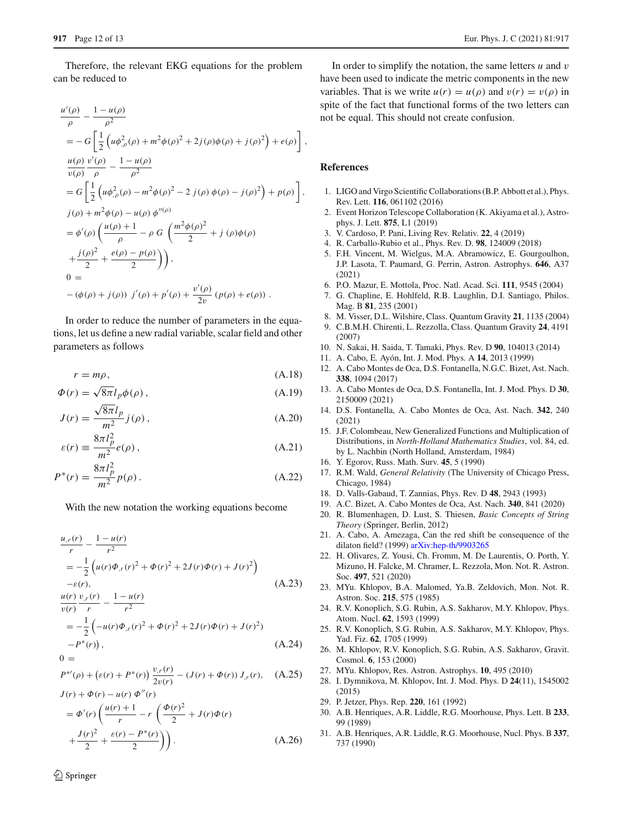Therefore, the relevant EKG equations for the problem can be reduced to

$$
\frac{u'(\rho)}{\rho} - \frac{1 - u(\rho)}{\rho^2} \n= -G \left[ \frac{1}{2} \left( u\phi_{,\rho}^2(\rho) + m^2 \phi(\rho)^2 + 2j(\rho)\phi(\rho) + j(\rho)^2 \right) + e(\rho) \right],
$$
\n
$$
\frac{u(\rho)}{v(\rho)} \frac{v'(\rho)}{\rho} - \frac{1 - u(\rho)}{\rho^2} \n= G \left[ \frac{1}{2} \left( u\phi_{,\rho}^2(\rho) - m^2 \phi(\rho)^2 - 2 j(\rho) \phi(\rho) - j(\rho)^2 \right) + p(\rho) \right],
$$
\n
$$
j(\rho) + m^2 \phi(\rho) - u(\rho) \phi''(\rho) \n= \phi'(\rho) \left( \frac{u(\rho) + 1}{\rho} - \rho G \left( \frac{m^2 \phi(\rho)^2}{2} + j(\rho) \phi(\rho) \right) + \frac{j(\rho)^2}{2} + \frac{e(\rho) - p(\rho)}{2} \right),
$$
\n
$$
0 =
$$
\n
$$
-(\phi(\rho) + j(\rho)) j'(\rho) + p'(\rho) + \frac{v'(\rho)}{2v} (p(\rho) + e(\rho)).
$$

In order to reduce the number of parameters in the equations, let us define a new radial variable, scalar field and other parameters as follows

$$
r = m\rho, \tag{A.18}
$$

$$
\Phi(r) = \sqrt{8\pi} l_p \phi(\rho) \,, \tag{A.19}
$$

$$
J(r) = \frac{\sqrt{8\pi}l_p}{m^2}j(\rho),
$$
\n(A.20)

$$
\varepsilon(r) \equiv \frac{8\pi l_p^2}{m^2} e(\rho) \,, \tag{A.21}
$$

$$
P^*(r) = \frac{8\pi l_p^2}{m^2} p(\rho).
$$
 (A.22)

With the new notation the working equations become

<span id="page-11-18"></span>
$$
\frac{u_{,r}(r)}{r} - \frac{1 - u(r)}{r^2}
$$
\n
$$
= -\frac{1}{2} \left( u(r)\Phi_{,r}(r)^2 + \Phi(r)^2 + 2J(r)\Phi(r) + J(r)^2 \right)
$$
\n
$$
- \varepsilon(r),
$$
\n
$$
\frac{u(r)}{v(r)} \frac{v_{,r}(r)}{r} - \frac{1 - u(r)}{r^2}
$$
\n(A.23)

$$
= -\frac{1}{2} \left( -u(r)\Phi_{,r}(r)^2 + \Phi(r)^2 + 2J(r)\Phi(r) + J(r)^2 \right) - P^*(r) \tag{A.24}
$$

$$
P^{*\prime}(\rho) + (\varepsilon(r) + P^*(r)) \frac{v_{,r}(r)}{2v(r)} - (J(r) + \Phi(r)) J_{,r}(r), \quad (A.25)
$$

$$
J(r) + \Phi(r) - u(r) \Phi''(r)
$$
  
=  $\Phi'(r) \left( \frac{u(r) + 1}{r} - r \left( \frac{\Phi(r)^2}{2} + J(r)\Phi(r) + \frac{J(r)^2}{2} + \frac{\varepsilon(r) - P^*(r)}{2} \right) \right).$  (A.26)

In order to simplify the notation, the same letters *u* and v have been used to indicate the metric components in the new variables. That is we write  $u(r) = u(\rho)$  and  $v(r) = v(\rho)$  in spite of the fact that functional forms of the two letters can not be equal. This should not create confusion.

#### **References**

- <span id="page-11-0"></span>1. LIGO and Virgo Scientific Collaborations (B.P. Abbott et al.), Phys. Rev. Lett. **116**, 061102 (2016)
- <span id="page-11-1"></span>2. Event Horizon Telescope Collaboration (K. Akiyama et al.), Astrophys. J. Lett. **875**, L1 (2019)
- <span id="page-11-2"></span>3. V. Cardoso, P. Pani, Living Rev. Relativ. **22**, 4 (2019)
- <span id="page-11-3"></span>4. R. Carballo-Rubio et al., Phys. Rev. D. **98**, 124009 (2018)
- <span id="page-11-4"></span>5. F.H. Vincent, M. Wielgus, M.A. Abramowicz, E. Gourgoulhon, J.P. Lasota, T. Paumard, G. Perrin, Astron. Astrophys. **646**, A37 (2021)
- <span id="page-11-5"></span>6. P.O. Mazur, E. Mottola, Proc. Natl. Acad. Sci. **111**, 9545 (2004)
- 7. G. Chapline, E. Hohlfeld, R.B. Laughlin, D.I. Santiago, Philos. Mag. B **81**, 235 (2001)
- <span id="page-11-6"></span>8. M. Visser, D.L. Wilshire, Class. Quantum Gravity **21**, 1135 (2004)
- <span id="page-11-7"></span>9. C.B.M.H. Chirenti, L. Rezzolla, Class. Quantum Gravity **24**, 4191 (2007)
- <span id="page-11-8"></span>10. N. Sakai, H. Saida, T. Tamaki, Phys. Rev. D **90**, 104013 (2014)
- <span id="page-11-9"></span>11. A. Cabo, E. Ayón, Int. J. Mod. Phys. A **14**, 2013 (1999)
- <span id="page-11-11"></span>12. A. Cabo Montes de Oca, D.S. Fontanella, N.G.C. Bizet, Ast. Nach. **338**, 1094 (2017)
- <span id="page-11-16"></span>13. A. Cabo Montes de Oca, D.S. Fontanella, Int. J. Mod. Phys. D **30**, 2150009 (2021)
- <span id="page-11-10"></span>14. D.S. Fontanella, A. Cabo Montes de Oca, Ast. Nach. **342**, 240 (2021)
- <span id="page-11-12"></span>15. J.F. Colombeau, New Generalized Functions and Multiplication of Distributions, in *North-Holland Mathematics Studies*, vol. 84, ed. by L. Nachbin (North Holland, Amsterdam, 1984)
- <span id="page-11-13"></span>16. Y. Egorov, Russ. Math. Surv. **45**, 5 (1990)
- <span id="page-11-14"></span>17. R.M. Wald, *General Relativity* (The University of Chicago Press, Chicago, 1984)
- <span id="page-11-15"></span>18. D. Valls-Gabaud, T. Zannias, Phys. Rev. D **48**, 2943 (1993)
- <span id="page-11-17"></span>19. A.C. Bizet, A. Cabo Montes de Oca, Ast. Nach. **340**, 841 (2020)
- <span id="page-11-19"></span>20. R. Blumenhagen, D. Lust, S. Thiesen, *Basic Concepts of String Theory* (Springer, Berlin, 2012)
- <span id="page-11-20"></span>21. A. Cabo, A. Amezaga, Can the red shift be consequence of the dilaton field? (1999) [arXiv:hep-th/9903265](http://arxiv.org/abs/hep-th/9903265)
- <span id="page-11-21"></span>22. H. Olivares, Z. Yousi, Ch. Fromm, M. De Laurentis, O. Porth, Y. Mizuno, H. Falcke, M. Chramer, L. Rezzola, Mon. Not. R. Astron. Soc. **497**, 521 (2020)
- <span id="page-11-22"></span>23. MYu. Khlopov, B.A. Malomed, Ya.B. Zeldovich, Mon. Not. R. Astron. Soc. **215**, 575 (1985)
- 24. R.V. Konoplich, S.G. Rubin, A.S. Sakharov, M.Y. Khlopov, Phys. Atom. Nucl. **62**, 1593 (1999)
- 25. R.V. Konoplich, S.G. Rubin, A.S. Sakharov, M.Y. Khlopov, Phys. Yad. Fiz. **62**, 1705 (1999)
- 26. M. Khlopov, R.V. Konoplich, S.G. Rubin, A.S. Sakharov, Gravit. Cosmol. **6**, 153 (2000)
- 27. MYu. Khlopov, Res. Astron. Astrophys. **10**, 495 (2010)
- <span id="page-11-23"></span>28. I. Dymnikova, M. Khlopov, Int. J. Mod. Phys. D **24**(11), 1545002 (2015)
- <span id="page-11-24"></span>29. P. Jetzer, Phys. Rep. **220**, 161 (1992)
- 30. A.B. Henriques, A.R. Liddle, R.G. Moorhouse, Phys. Lett. B **233**, 99 (1989)
- 31. A.B. Henriques, A.R. Liddle, R.G. Moorhouse, Nucl. Phys. B **337**, 737 (1990)

 $0 =$